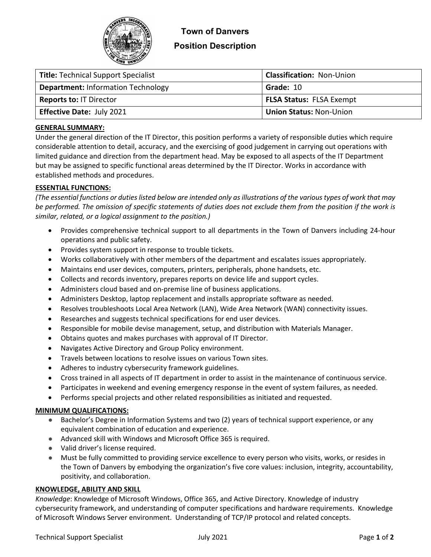

# **Position Description**

| <b>Title: Technical Support Specialist</b> | <b>Classification: Non-Union</b> |  |
|--------------------------------------------|----------------------------------|--|
| <b>Department: Information Technology</b>  | Grade: 10                        |  |
| <b>Reports to: IT Director</b>             | <b>FLSA Status: FLSA Exempt</b>  |  |
| <b>Effective Date: July 2021</b>           | <b>Union Status: Non-Union</b>   |  |

## **GENERAL SUMMARY:**

Under the general direction of the IT Director, this position performs a variety of responsible duties which require considerable attention to detail, accuracy, and the exercising of good judgement in carrying out operations with limited guidance and direction from the department head. May be exposed to all aspects of the IT Department but may be assigned to specific functional areas determined by the IT Director. Works in accordance with established methods and procedures.

## **ESSENTIAL FUNCTIONS:**

*(The essential functions or duties listed below are intended only as illustrations of the various types of work that may be performed. The omission of specific statements of duties does not exclude them from the position if the work is similar, related, or a logical assignment to the position.)*

- Provides comprehensive technical support to all departments in the Town of Danvers including 24-hour operations and public safety.
- Provides system support in response to trouble tickets.
- Works collaboratively with other members of the department and escalates issues appropriately.
- Maintains end user devices, computers, printers, peripherals, phone handsets, etc.
- Collects and records inventory, prepares reports on device life and support cycles.
- Administers cloud based and on-premise line of business applications.
- Administers Desktop, laptop replacement and installs appropriate software as needed.
- Resolves troubleshoots Local Area Network (LAN), Wide Area Network (WAN) connectivity issues.
- Researches and suggests technical specifications for end user devices.
- Responsible for mobile devise management, setup, and distribution with Materials Manager.
- Obtains quotes and makes purchases with approval of IT Director.
- Navigates Active Directory and Group Policy environment.
- Travels between locations to resolve issues on various Town sites.
- Adheres to industry cybersecurity framework guidelines.
- Cross trained in all aspects of IT department in order to assist in the maintenance of continuous service.
- Participates in weekend and evening emergency response in the event of system failures, as needed.
- Performs special projects and other related responsibilities as initiated and requested.

## **MINIMUM QUALIFICATIONS:**

- Bachelor's Degree in Information Systems and two (2) years of technical support experience, or any equivalent combination of education and experience.
- Advanced skill with Windows and Microsoft Office 365 is required.
- Valid driver's license required.
- Must be fully committed to providing service excellence to every person who visits, works, or resides in the Town of Danvers by embodying the organization's five core values: inclusion, integrity, accountability, positivity, and collaboration.

## **KNOWLEDGE, ABILITY AND SKILL**

*Knowledge*: Knowledge of Microsoft Windows, Office 365, and Active Directory. Knowledge of industry cybersecurity framework, and understanding of computer specifications and hardware requirements. Knowledge of Microsoft Windows Server environment. Understanding of TCP/IP protocol and related concepts.